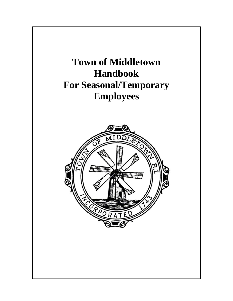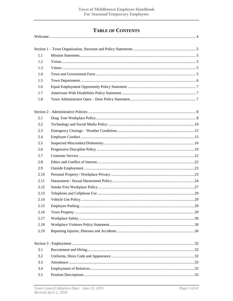# **TABLE OF CONTENTS**

| 1.1  |  |  |  |
|------|--|--|--|
| 1.2  |  |  |  |
| 1.3  |  |  |  |
| 1.4  |  |  |  |
| 1.5  |  |  |  |
| 1.6  |  |  |  |
| 1.7  |  |  |  |
| 1.8  |  |  |  |
|      |  |  |  |
| 2.1  |  |  |  |
| 2.2  |  |  |  |
| 2.3  |  |  |  |
| 2.4  |  |  |  |
| 2.5  |  |  |  |
| 2.6  |  |  |  |
| 2.7  |  |  |  |
| 2.8  |  |  |  |
| 2.9  |  |  |  |
| 2.10 |  |  |  |
| 2.11 |  |  |  |
| 2.12 |  |  |  |
| 2.13 |  |  |  |
| 2.14 |  |  |  |
| 2.15 |  |  |  |
| 2.16 |  |  |  |
| 2.17 |  |  |  |
| 2.18 |  |  |  |
| 2.19 |  |  |  |
|      |  |  |  |
| 3.1  |  |  |  |
| 3.2  |  |  |  |
| 3.3  |  |  |  |
| 3.4  |  |  |  |
| 3.5  |  |  |  |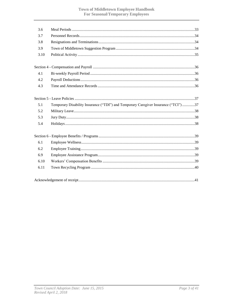| 3.6  |                                                                                     |
|------|-------------------------------------------------------------------------------------|
| 3.7  |                                                                                     |
| 3.8  |                                                                                     |
| 3.9  |                                                                                     |
| 3.10 |                                                                                     |
|      |                                                                                     |
|      |                                                                                     |
| 4.1  |                                                                                     |
| 4.2  |                                                                                     |
| 4.3  |                                                                                     |
|      |                                                                                     |
| 5.1  | Temporary Disability Insurance ("TDI") and Temporary Caregiver Insurance ("TCI") 37 |
| 5.2  |                                                                                     |
| 5.3  |                                                                                     |
|      |                                                                                     |
| 5.4  |                                                                                     |
|      |                                                                                     |
| 6.1  |                                                                                     |
| 6.2  |                                                                                     |
| 6.9  |                                                                                     |
| 6.10 |                                                                                     |
| 6.11 |                                                                                     |
|      |                                                                                     |
|      |                                                                                     |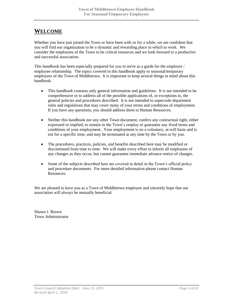# <span id="page-3-0"></span>**WELCOME**

Whether you have just joined the Town or have been with us for a while, we are confident that you will find our organization to be a dynamic and rewarding place in which to work. We consider the employees of the Town to be critical resources and we look forward to a productive and successful association.

This handbook has been especially prepared for you to serve as a guide for the employer / employee relationship. The topics covered in this handbook apply to seasonal/temporary employees of the Town of Middletown. It is important to keep several things in mind about this handbook.

- This handbook contains only general information and guidelines. It is not intended to be comprehensive or to address all of the possible applications of, or exceptions to, the general policies and procedures described. It is not intended to supercede department rules and regulations that may cover many of your terms and conditions of employment. If you have any questions, you should address them to Human Resources.
- Neither this handbook nor any other Town document, confers any contractual right, either expressed or implied, to remain in the Town's employ or guarantee any fixed terms and conditions of your employment. Your employment is on a voluntary, at-will basis and is not for a specific time, and may be terminated at any time by the Town or by you.
- The procedures, practices, policies, and benefits described here may be modified or discontinued from time to time. We will make every effort to inform all employees of any changes as they occur, but cannot guarantee immediate advance notice of changes.
- Some of the subjects described here are covered in detail in the Town's official policy and procedure documents. For more detailed information please contact Human Resources.

We are pleased to have you as a Town of Middletown employee and sincerely hope that our association will always be mutually beneficial.

Shawn J. Brown Town Administrator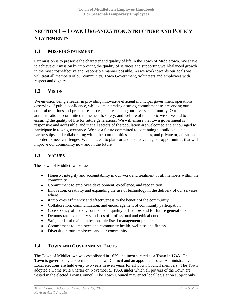# <span id="page-4-0"></span>**SECTION 1 – TOWN ORGANIZATION, STRUCTURE AND POLICY STATEMENTS**

### <span id="page-4-1"></span>**1.1 MISSION STATEMENT**

Our mission is to preserve the character and quality of life in the Town of Middletown. We strive to achieve our mission by improving the quality of services and supporting well-balanced growth in the most cost-effective and responsible manner possible. As we work towards our goals we will treat all members of our community, Town Government, volunteers and employees with respect and dignity.

# <span id="page-4-2"></span>**1.2 VISION**

We envision being a leader in providing innovative efficient municipal government operations deserving of public confidence, while demonstrating a strong commitment to preserving our cultural traditions and pristine resources, and respecting our diverse community. Our administration is committed to the health, safety, and welfare of the public we serve and to ensuring the quality of life for future generations. We will ensure that town government is responsive and accessible, and that all sectors of the population are welcomed and encouraged to participate in town governance. We see a future committed to continuing to build valuable partnerships, and collaborating with other communities, state agencies, and private organizations in order to meet challenges. We endeavor to plan for and take advantage of opportunities that will improve our community now and in the future.

### <span id="page-4-3"></span>**1.3 VALUES**

The Town of Middletown values:

- Honesty, integrity and accountability in our work and treatment of all members within the community
- Commitment to employee development, excellence, and recognition
- Innovation, creativity and expanding the use of technology in the delivery of our services where
- it improves efficiency and effectiveness to the benefit of the community
- Collaboration, communication, and encouragement of community participation
- Conservancy of the environment and quality of life now and for future generations
- Demonstrate exemplary standards of professional and ethical conduct
- Safeguard and maintain responsible fiscal management practices
- Commitment to employee and community health, wellness and fitness
- Diversity in our employees and our community

# <span id="page-4-4"></span>**1.4 TOWN AND GOVERNMENT FACTS**

The Town of Middletown was established in 1639 and incorporated as a Town in 1743. The Town is governed by a seven member Town Council and an appointed Town Administrator. Local elections are held every two years in even years for all Town Council members. The Town adopted a Home Rule Charter on November 5, 1968, under which all powers of the Town are vested in the elected Town Council. The Town Council may enact local legislation subject only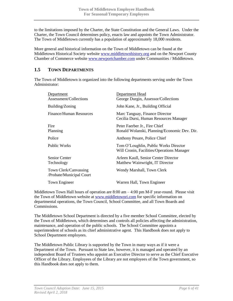to the limitations imposed by the Charter, the State Constitution and the General Laws. Under the Charter, the Town Council determines policy, enacts law and appoints the Town Administrator. The Town of Middletown currently has a population of approximately 18,000 residents.

More general and historical information on the Town of Middletown can be found at the Middletown Historical Society website [www.middletownhistory.org](http://www.middletownhistory.org/) and on the Newport County Chamber of Commerce website [www.newportchamber.com](http://www.newportchamber.com/) under Communities / Middletown.

### <span id="page-5-0"></span>**1.5 TOWN DEPARTMENTS**

The Town of Middletown is organized into the following departments serving under the Town Administrator:

| Department<br>Assessment/Collections              | Department Head<br>George Durgin, Assessor/Collections                              |
|---------------------------------------------------|-------------------------------------------------------------------------------------|
| Building/Zoning                                   | John Kane, Jr., Building Official                                                   |
| <b>Finance/Human Resources</b>                    | Marc Tanguay, Finance Director<br>Cecilia Dursi, Human Resources Manager            |
| Fire<br>Planning                                  | Peter Faerber Jr., Fire Chief<br>Ronald Wolanski, Planning/Economic Dev. Dir.       |
| Police                                            | Anthony Pesare, Police Chief                                                        |
| <b>Public Works</b>                               | Tom O'Loughlin, Public Works Director<br>Will Cronin, Facilities/Operations Manager |
| <b>Senior Center</b><br>Technology                | Arleen Kaull, Senior Center Director<br>Matthew Wainwright, IT Director             |
| Town Clerk/Canvassing<br>/Probate/Municipal Court | Wendy Marshall, Town Clerk                                                          |
| Town Engineer                                     | Warren Hall, Town Engineer                                                          |
|                                                   |                                                                                     |

Middletown Town Hall hours of operation are 8:00 am – 4:00 pm M-F year-round. Please visit the Town of Middletown website at [www.middletownri.com](http://www.middletownri.com/) for specific information on departmental operations, the Town Council, School Committee, and all Town Boards and Commissions.

The Middletown School Department is directed by a five member School Committee, elected by the Town of Middletown, which determines and controls all policies affecting the administration, maintenance, and operation of the public schools. The School Committee appoints a superintendent of schools as its chief administrative agent. This Handbook does not apply to School Department employees.

The Middletown Public Library is supported by the Town in many ways as if it were a Department of the Town. Pursuant to State law, however, it is managed and operated by an independent Board of Trustees who appoint an Executive Director to serve as the Chief Executive Officer of the Library. Employees of the Library are not employees of the Town government, so this Handbook does not apply to them.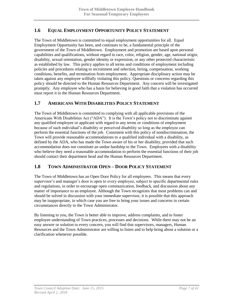# <span id="page-6-0"></span>**1.6 EQUAL EMPLOYMENT OPPORTUNITY POLICY STATEMENT**

The Town of Middletown is committed to equal employment opportunities for all. Equal Employment Opportunity has been, and continues to be, a fundamental principle of the government of the Town of Middletown. Employment and promotion are based upon personal capabilities and qualifications, without regard to race, color, religion, gender, age, national origin, disability, sexual orientation, gender identity or expression, or any other protected characteristic as established by law. This policy applies to all terms and conditions of employment including policies and procedures relating to recruitment and selection, hiring, compensation, working conditions, benefits, and termination from employment. Appropriate disciplinary action may be taken against any employee willfully violating this policy. Questions or concerns regarding this policy should be directed to the Human Resources Department. Any concern will be investigated promptly. Any employee who has a basis for believing in good faith that a violation has occurred must report it to the Human Resources Department.

### <span id="page-6-1"></span>**1.7 AMERICANS WITH DISABILITIES POLICY STATEMENT**

The Town of Middletown is committed to complying with all applicable provisions of the Americans With Disabilities Act ("ADA"). It is the Town's policy not to discriminate against any qualified employee or applicant with regard to any terms or conditions of employment because of such individual's disability or perceived disability so long as the employee can perform the essential functions of the job. Consistent with this policy of nondiscrimination, the Town will provide reasonable accommodations to a qualified individual with a disability, as defined by the ADA, who has made the Town aware of his or her disability, provided that such accommodation does not constitute an undue hardship to the Town. Employees with a disability who believe they need a reasonable accommodation to perform the essential functions of their job should contact their department head and the Human Resources Department.

### <span id="page-6-2"></span>**1.8 TOWN ADMINISTRATOR OPEN – DOOR POLICY STATEMENT**

The Town of Middletown has an Open Door Policy for all employees. This means that every supervisor's and manager's door is open to every employee, subject to specific departmental rules and regulations, in order to encourage open communication, feedback, and discussion about any matter of importance to an employee. Although the Town recognizes that most problems can and should be solved in discussion with your immediate supervisor, it is possible that this approach may be inappropriate, in which case you are free to bring your issues and concerns in certain circumstances directly to the Town Administrator.

By listening to you, the Town is better able to improve, address complaints, and to foster employee understanding of Town practices, processes and decisions. While there may not be an easy answer or solution to every concern, you will find that supervisors, managers, Human Resources and the Town Administrator are willing to listen and to help bring about a solution or a clarification whenever possible.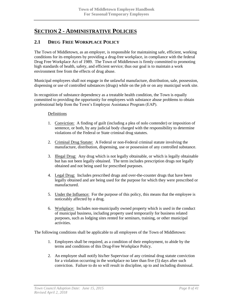# <span id="page-7-0"></span>**SECTION 2 - ADMINISTRATIVE POLICIES**

### <span id="page-7-1"></span>**2.1 DRUG FREE WORKPLACE POLICY**

The Town of Middletown, as an employer, is responsible for maintaining safe, efficient, working conditions for its employees by providing a drug-free workplace, in compliance with the federal Drug Free Workplace Act of 1989. The Town of Middletown is firmly committed to promoting high standards of health, safety, and efficient service; thus our goal is to maintain a work environment free from the effects of drug abuse.

Municipal employees shall not engage in the unlawful manufacture, distribution, sale, possession, dispensing or use of controlled substances (drugs) while on the job or on any municipal work site.

In recognition of substance dependency as a treatable health condition, the Town is equally committed to providing the opportunity for employees with substance abuse problems to obtain professional help from the Town's Employee Assistance Program (EAP).

#### Definitions

- 1. Conviction: A finding of guilt (including a plea of nolo contender) or imposition of sentence, or both, by any judicial body charged with the responsibility to determine violations of the Federal or State criminal drug statutes.
- 2. Criminal Drug Statute: A Federal or non-Federal criminal statute involving the manufacture, distribution, dispensing, use or possession of any controlled substance.
- 3. Illegal Drug: Any drug which is not legally obtainable, or which is legally obtainable but has not been legally obtained. The term includes prescription drugs not legally obtained and not being used for prescribed purposes.
- 4. Legal Drug: Includes prescribed drugs and over-the-counter drugs that have been legally obtained and are being used for the purpose for which they were prescribed or manufactured.
- 5. Under the Influence: For the purpose of this policy, this means that the employee is noticeably affected by a drug.
- 6. Workplace: Includes non-municipally owned property which is used in the conduct of municipal business, including property used temporarily for business related purposes, such as lodging sites rented for seminars, training, or other municipal activities.

The following conditions shall be applicable to all employees of the Town of Middletown:

- 1. Employees shall be required, as a condition of their employment, to abide by the terms and conditions of this Drug-Free Workplace Policy.
- 2. An employee shall notify his/her Supervisor of any criminal drug statute conviction for a violation occurring in the workplace no later than five (5) days after such conviction. Failure to do so will result in discipline, up to and including dismissal.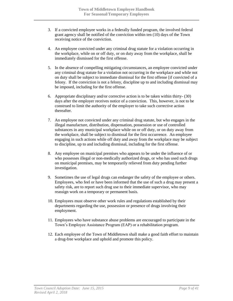- 3. If a convicted employee works in a federally funded program, the involved federal grant agency shall be notified of the conviction within ten (10) days of the Town receiving notice of the conviction.
- 4. An employee convicted under any criminal drug statute for a violation occurring in the workplace, while on or off duty, or on duty away from the workplace, shall be immediately dismissed for the first offense.
- 5. In the absence of compelling mitigating circumstances, an employee convicted under any criminal drug statute for a violation not occurring in the workplace and while not on duty shall be subject to immediate dismissal for the first offense [if convicted of a felony. If the conviction is not a felony, discipline up to and including dismissal may be imposed, including for the first offense.
- 6. Appropriate disciplinary and/or corrective action is to be taken within thirty- (30) days after the employer receives notice of a conviction. This, however, is not to be construed to limit the authority of the employer to take such corrective action thereafter.
- 7. An employee not convicted under any criminal drug statute, but who engages in the illegal manufacture, distribution, dispensation, possession or use of controlled substances in any municipal workplace while on or off duty, or on duty away from the workplace, shall be subject to dismissal for the first occurrence. An employee engaging in such actions while off duty and away from the workplace may be subject to discipline, up to and including dismissal, including for the first offense.
- 8. Any employee on municipal premises who appears to be under the influence of or who possesses illegal or non-medically authorized drugs, or who has used such drugs on municipal premises, may be temporarily relieved from duty pending further investigation.
- 9. Sometimes the use of legal drugs can endanger the safety of the employee or others. Employees, who feel or have been informed that the use of such a drug may present a safety risk, are to report such drug use to their immediate supervisor, who may reassign work on a temporary or permanent basis.
- 10. Employees must observe other work rules and regulations established by their departments regarding the use, possession or presence of drugs involving their employment.
- 11. Employees who have substance abuse problems are encouraged to participate in the Town's Employee Assistance Program (EAP) or a rehabilitation program.
- 12. Each employee of the Town of Middletown shall make a good faith effort to maintain a drug-free workplace and uphold and promote this policy.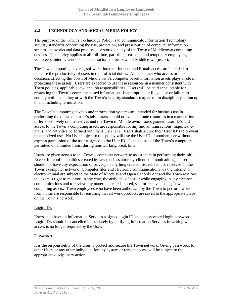# <span id="page-9-0"></span>**2.2 TECHNOLOGY AND SOCIAL MEDIA POLICY**

The purpose of the Town's Technology Policy is to communicate Information Technology security standards concerning the use, protection, and preservation of computer information systems, networks and data processed or stored on any of the Town of Middletown computing devices. This policy applies to all full-time, part-time, seasonal, and temporary employees, volunteers, interns, vendors, and contractors to the Town of Middletown (users).

The Town computing devices, software, Internet, Intranet and E-mail access are intended to increase the productivity of users in their official duties. All personnel who access or make decisions affecting the Town of Middletown's computer based information assets plays a role in protecting these assets. Users are expected to use these resources in a manner consistent with Town policies, applicable law, and job responsibilities. Users will be held accountable for protecting the Town's computer-based information. Inappropriate or illegal use or failure to comply with this policy or with the Town's security standards may result in disciplinary action up to and including termination.

The Town's computing devices and information systems are intended for business use in performing the duties of a user's job. Users should utilize electronic resources in a manner that reflects positively on themselves and the Town of Middletown. Users granted User ID's and access to the Town's computing assets are responsible for any and all transactions, inquiries, emails, and activities performed with their User ID's. Users shall secure their User ID's to prevent unauthorized use. No User subject to this policy will use the User ID of another user without express permission of the user assigned to the User ID. Personal use of the Town's computers is permitted on a limited basis, during non-working/break time.

Users are given access to the Town's computer network to assist them in performing their jobs. Except for confidentialities created by law (such as attorney-client communications), a user should not have any expectation of privacy in anything created, stored, sent, or received on the Town's computer network. Computer files and electronic communications via the Internet or electronic mail are subject to the State of Rhode Island Open Records Act and the Town reserves the express right to monitor, in any way, the activities of a user while engaging in any electronic communications and to review any material created, stored, sent or received using Town computing assets. Town employees who have been authorized by the Town to perform work from home are responsible for ensuring that all work products are saved to the appropriate place on the Town's network.

#### Login ID's

Users shall have an Information Services assigned login ID and an associated login password. Login ID's should be cancelled immediately by notifying Information Services in writing when access is no longer required by the User.

#### Passwords

It is the responsibility of the User to protect and secure the Town network. Giving passwords to other Users or any other individual for any system or remote access will be subject to the appropriate disciplinary action.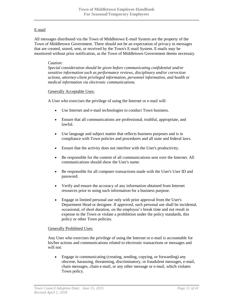#### E-mail

All messages distributed via the Town of Middletown E-mail System are the property of the Town of Middletown Government. There should not be an expectation of privacy in messages that are created, stored, sent, or received by the Town's E-mail System. E-mails may be monitored without prior notification, as the Town of Middletown Government deems necessary.

#### *Caution:*

*Special consideration should be given before communicating confidential and/or sensitive information such as performance reviews, disciplinary and/or correction actions, attorney-client privileged information, personnel information, and health or medical information via electronic communications.*

#### Generally Acceptable Uses:

A User who exercises the privilege of using the Internet or e-mail will:

- Use Internet and e-mail technologies to conduct Town business.
- Ensure that all communications are professional, truthful, appropriate, and lawful.
- Use language and subject matter that reflects business purposes and is in compliance with Town policies and procedures and all state and federal laws.
- Ensure that the activity does not interfere with the User's productivity.
- Be responsible for the content of all communications sent over the Internet. All communications should show the User's name.
- Be responsible for all computer transactions made with the User's User ID and password.
- Verify and ensure the accuracy of any information obtained from Internet resources prior to using such information for a business purpose.
- Engage in limited personal use only with prior approval from the User's Department Head or designee. If approved, such personal use shall be incidental, occasional, of short duration, on the employee's break time and not result in expense to the Town or violate a prohibition under the policy standards, this policy or other Town policies.

#### Generally Prohibited Uses:

Any User who exercises the privilege of using the Internet or e-mail is accountable for his/her actions and communications related to electronic transactions or messages and will not:

 Engage in communicating (creating, sending, copying, or forwarding) any obscene, harassing, threatening, discriminatory, or fraudulent messages, e-mail, chain messages, chain e-mail, or any other message or e-mail, which violates Town policy.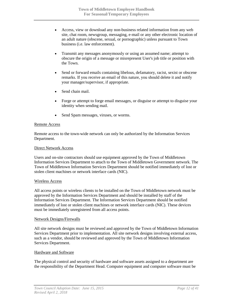- Access, view or download any non-business related information from any web site, chat room, newsgroup, messaging, e-mail or any other electronic location of an adult nature (obscene, sexual, or pornographic) unless pursuant to Town business (i.e. law enforcement).
- Transmit any messages anonymously or using an assumed name; attempt to obscure the origin of a message or misrepresent User's job title or position with the Town.
- Send or forward emails containing libelous, defamatory, racist, sexist or obscene remarks. If you receive an email of this nature, you should delete it and notify your manager/supervisor, if appropriate.
- Send chain mail.
- Forge or attempt to forge email messages, or disguise or attempt to disguise your identity when sending mail.
- Send Spam messages, viruses, or worms.

#### Remote Access

Remote access to the town-wide network can only be authorized by the Information Services Department.

#### Direct Network Access

Users and on-site contractors should use equipment approved by the Town of Middletown Information Services Department to attach to the Town of Middletown Government network. The Town of Middletown Information Services Department should be notified immediately of lost or stolen client machines or network interface cards (NIC).

#### Wireless Access

All access points or wireless clients to be installed on the Town of Middletown network must be approved by the Information Services Department and should be installed by staff of the Information Services Department. The Information Services Department should be notified immediately of lost or stolen client machines or network interface cards (NIC). These devices must be immediately unregistered from all access points.

#### Network Designs/Firewalls

All site network designs must be reviewed and approved by the Town of Middletown Information Services Department prior to implementation. All site network designs involving external access, such as a vendor, should be reviewed and approved by the Town of Middletown Information Services Department.

#### Hardware and Software

The physical control and security of hardware and software assets assigned to a department are the responsibility of the Department Head. Computer equipment and computer software must be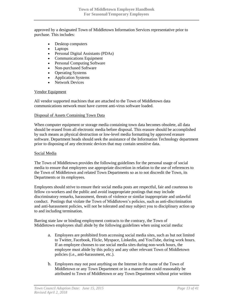approved by a designated Town of Middletown Information Services representative prior to purchase. This includes:

- Desktop computers
- Laptops
- Personal Digital Assistants (PDAs)
- Communications Equipment
- Personal Computing Software
- Non-purchased Software
- Operating Systems
- Application Systems
- Network Devices

#### Vendor Equipment

All vendor supported machines that are attached to the Town of Middletown data communications network must have current anti-virus software loaded.

#### Disposal of Assets Containing Town Data

When computer equipment or storage media containing town data becomes obsolete, all data should be erased from all electronic media before disposal. This erasure should be accomplished by such means as physical destruction or low-level media formatting by approved erasure software. Department heads should seek the assistance of the Information Technology department prior to disposing of any electronic devices that may contain sensitive data.

#### Social Media

The Town of Middletown provides the following guidelines for the personal usage of social media to ensure that employees use appropriate discretion in relation to the use of references to the Town of Middletown and related Town Departments so as to not discredit the Town, its Departments or its employees.

Employees should strive to ensure their social media posts are respectful, fair and courteous to fellow co-workers and the public and avoid inappropriate postings that may include discriminatory remarks, harassment, threats of violence or similar inappropriate and unlawful conduct. Postings that violate the Town of Middletown's policies, such as anti-discrimination and anti-harassment policies, will not be tolerated and may subject you to disciplinary action up to and including termination.

Barring state law or binding employment contracts to the contrary, the Town of Middletown employees shall abide by the following guidelines when using social media:

- a. Employees are prohibited from accessing social media sites, such as but not limited to Twitter, Facebook, Flickr, Myspace, Linkedin, and YouTube, during work hours. If an employee chooses to use social media sites during non-work hours, the employee must abide by this policy and any other relevant Town of Middletown policies (i.e., anti-harassment, etc.).
- b. Employees may not post anything on the Internet in the name of the Town of Middletown or any Town Department or in a manner that could reasonably be attributed to Town of Middletown or any Town Department without prior written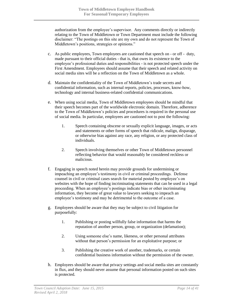authorization from the employee's supervisor. Any comments directly or indirectly relating to the Town of Middletown or Town Department must include the following disclaimer: "The postings on this site are my own and do not represent the Town of Middletown's positions, strategies or opinions."

- c. As public employees, Town employees are cautioned that speech on or off duty, made pursuant to their official duties - that is, that owes its existence to the employee's professional duties and responsibilities - is not protected speech under the First Amendment. Employees should assume that their speech and related activity on social media sites will be a reflection on the Town of Middletown as a whole.
- d. Maintain the confidentiality of the Town of Middletown's trade secrets and confidential information, such as internal reports, policies, processes, know-how, technology and internal business-related confidential communications.
- e. When using social media, Town of Middletown employees should be mindful that their speech becomes part of the worldwide electronic domain. Therefore, adherence to the Town of Middletown's policies and procedures is required in the personal use of social media. In particular, employees are cautioned not to post the following:
	- 1. Speech containing obscene or sexually explicit language, images, or acts and statements or other forms of speech that ridicule, malign, disparage, or otherwise bias against any race, any religion, or any protected class of individuals.
	- 2. Speech involving themselves or other Town of Middletown personnel reflecting behavior that would reasonably be considered reckless or malicious.
- f. Engaging in speech noted herein may provide grounds for undermining or impeaching an employee's testimony in civil or criminal proceedings. Defense counsel in civil or criminal cases search for material posted by employee's on websites with the hope of finding incriminating statements that can be used in a legal proceeding. When an employee's postings indicate bias or other incriminating information, they become of great value to lawyers seeking to impeach an employee's testimony and may be detrimental to the outcome of a case.
- g. Employees should be aware that they may be subject to civil litigation for purposefully:
	- 1. Publishing or posting willfully false information that harms the reputation of another person, group, or organization (defamation);
	- 2. Using someone else's name, likeness, or other personal attributes without that person's permission for an exploitative purpose; or
	- 3. Publishing the creative work of another, trademarks, or certain confidential business information without the permission of the owner.
- h. Employees should be aware that privacy settings and social media sites are constantly in flux, and they should never assume that personal information posted on such sites is protected.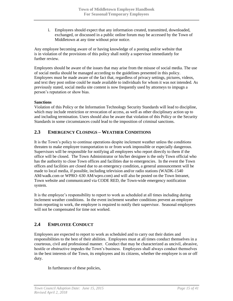i. Employees should expect that any information created, transmitted, downloaded, exchanged, or discussed in a public online forum may be accessed by the Town of Middletown at any time without prior notice.

Any employee becoming aware of or having knowledge of a posting and/or website that is in violation of the provisions of this policy shall notify a supervisor immediately for further review.

Employees should be aware of the issues that may arise from the misuse of social media. The use of social media should be managed according to the guidelines presented in this policy. Employees must be made aware of the fact that, regardless of privacy settings, pictures, videos, and text they post online could be made available to individuals for whom it was not intended. As previously stated, social media site content is now frequently used by attorneys to impugn a person's reputation or show bias.

#### **Sanctions**

Violation of this Policy or the Information Technology Security Standards will lead to discipline, which may include restriction or revocation of access, as well as other disciplinary action up to and including termination. Users should also be aware that violation of this Policy or the Security Standards in some circumstances could lead to the imposition of criminal sanctions.

### <span id="page-14-0"></span>**2.3 EMERGENCY CLOSINGS – WEATHER CONDITIONS**

It is the Town's policy to continue operations despite inclement weather unless the conditions threaten to make employee transportation to or from work impossible or especially dangerous. Supervisors will be responsible for notifying all employees who report directly to them if the office will be closed. The Town Administrator or his/her designee is the only Town official who has the authority to close Town offices and facilities due to emergencies. In the event the Town offices and facilities are closed due to an emergency condition, a general announcement will be made to local media, if possible, including television and/or radio stations (WADK-1540 AM/wadk.com or WPRO–630 AM/wpro.com) and will also be posted on the Town Intranet, Town website and communicated via CODE RED, the Town-wide emergency notification system.

It is the employee's responsibility to report to work as scheduled at all times including during inclement weather conditions. In the event inclement weather conditions prevent an employee from reporting to work, the employee is required to notify their supervisor. Seasonal employees will not be compensated for time not worked.

# <span id="page-14-1"></span>**2.4 EMPLOYEE CONDUCT**

Employees are expected to report to work as scheduled and to carry out their duties and responsibilities to the best of their abilities. Employees must at all times conduct themselves in a courteous, civil and professional manner. Conduct that may be characterized as uncivil, abrasive, hostile or obstructive impedes the Town's business. Employees shall always conduct themselves in the best interests of the Town, its employees and its citizens, whether the employee is on or off duty.

In furtherance of these policies,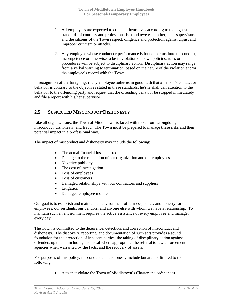- 1. All employees are expected to conduct themselves according to the highest standards of courtesy and professionalism and owe each other, their supervisors and the citizens of the Town respect, diligence and protection against unjust and improper criticism or attacks.
- 2. Any employee whose conduct or performance is found to constitute misconduct, incompetence or otherwise to be in violation of Town policies, rules or procedures will be subject to disciplinary action. Disciplinary action may range from a verbal warning to termination, based on the nature of the violation and/or the employee's record with the Town.

In recognition of the foregoing, if any employee believes in good faith that a person's conduct or behavior is contrary to the objectives stated in these standards, he/she shall call attention to the behavior to the offending party and request that the offending behavior be stopped immediately and file a report with his/her supervisor.

### <span id="page-15-0"></span>**2.5 SUSPECTED MISCONDUCT/DISHONESTY**

Like all organizations, the Town of Middletown is faced with risks from wrongdoing, misconduct, dishonesty, and fraud. The Town must be prepared to manage these risks and their potential impact in a professional way.

The impact of misconduct and dishonesty may include the following:

- The actual financial loss incurred
- Damage to the reputation of our organization and our employees
- Negative publicity
- The cost of investigation
- Loss of employees
- Loss of customers
- Damaged relationships with our contractors and suppliers
- Litigation
- Damaged employee morale

Our goal is to establish and maintain an environment of fairness, ethics, and honesty for our employees, our residents, our vendors, and anyone else with whom we have a relationship. To maintain such an environment requires the active assistance of every employee and manager every day.

The Town is committed to the deterrence, detection, and correction of misconduct and dishonesty. The discovery, reporting, and documentation of such acts provides a sound foundation for the protection of innocent parties, the taking of disciplinary action against offenders up to and including dismissal where appropriate, the referral to law enforcement agencies when warranted by the facts, and the recovery of assets.

For purposes of this policy, misconduct and dishonesty include but are not limited to the following:

Acts that violate the Town of Middletown's Charter and ordinances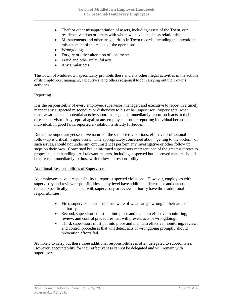- Theft or other misappropriation of assets, including assets of the Town, our residents, vendors or others with whom we have a business relationship
- Misstatements and other irregularities in Town records, including the intentional misstatement of the results of the operations
- Wrongdoing
- Forgery or other alteration of documents
- Fraud and other unlawful acts
- Any similar acts

The Town of Middletown specifically prohibits these and any other illegal activities in the actions of its employees, managers, executives, and others responsible for carrying out the Town's activities.

#### Reporting

It is the responsibility of every employee, supervisor, manager, and executive to report in a timely manner any suspected misconduct or dishonesty to his or her supervisor. Supervisors, when made aware of such potential acts by subordinates, must immediately report such acts to their direct supervisor. Any reprisal against any employee or other reporting individual because that individual, in good faith, reported a violation is strictly forbidden.

Due to the important yet sensitive nature of the suspected violations, effective professional follow-up is critical. Supervisors, while appropriately concerned about "getting to the bottom" of such issues, should not under any circumstances perform any investigative or other follow up steps on their own. Concerned but uninformed supervisors represent one of the greatest threats to proper incident handling. All relevant matters, including suspected but unproved matters should be referred immediately to those with follow-up responsibility.

#### Additional Responsibilities of Supervisors

All employees have a responsibility to report suspected violations. However, employees with supervisory and review responsibilities at any level have additional deterrence and detection duties. Specifically, personnel with supervisory or review authority have three additional responsibilities:

- First, supervisors must become aware of what can go wrong in their area of authority.
- Second, supervisors must put into place and maintain effective monitoring, review, and control procedures that will prevent acts of wrongdoing.
- Third, supervisors must put into place and maintain effective monitoring, review, and control procedures that will detect acts of wrongdoing promptly should prevention efforts fail.

Authority to carry out these three additional responsibilities is often delegated to subordinates. However, accountability for their effectiveness cannot be delegated and will remain with supervisors.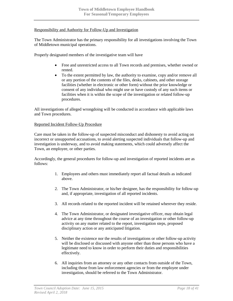#### Responsibility and Authority for Follow-Up and Investigation

The Town Administrator has the primary responsibility for all investigations involving the Town of Middletown municipal operations.

Properly designated members of the investigative team will have

- Free and unrestricted access to all Town records and premises, whether owned or rented.
- To the extent permitted by law, the authority to examine, copy and/or remove all or any portion of the contents of the files, desks, cabinets, and other storage facilities (whether in electronic or other form) without the prior knowledge or consent of any individual who might use or have custody of any such items or facilities when it is within the scope of the investigation or related follow-up procedures.

All investigations of alleged wrongdoing will be conducted in accordance with applicable laws and Town procedures.

#### Reported Incident Follow-Up Procedure

Care must be taken in the follow-up of suspected misconduct and dishonesty to avoid acting on incorrect or unsupported accusations, to avoid alerting suspected individuals that follow-up and investigation is underway, and to avoid making statements, which could adversely affect the Town, an employee, or other parties.

Accordingly, the general procedures for follow-up and investigation of reported incidents are as follows:

- 1. Employees and others must immediately report all factual details as indicated above.
- 2. The Town Administrator, or his/her designee, has the responsibility for follow-up and, if appropriate, investigation of all reported incidents.
- 3. All records related to the reported incident will be retained wherever they reside.
- 4. The Town Administrator, or designated investigative officer, may obtain legal advice at any time throughout the course of an investigation or other follow-up activity on any matter related to the report, investigation steps, proposed disciplinary action or any anticipated litigation.
- 5. Neither the existence nor the results of investigations or other follow-up activity will be disclosed or discussed with anyone other than those persons who have a legitimate need to know in order to perform their duties and responsibilities effectively.
- 6. All inquiries from an attorney or any other contacts from outside of the Town, including those from law enforcement agencies or from the employee under investigation, should be referred to the Town Administrator.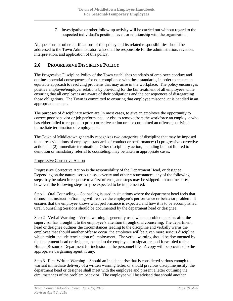7. Investigative or other follow-up activity will be carried out without regard to the suspected individual's position, level, or relationship with the organization.

All questions or other clarifications of this policy and its related responsibilities should be addressed to the Town Administrator, who shall be responsible for the administration, revision, interpretation, and application of this policy.

### <span id="page-18-0"></span>**2.6 PROGRESSIVE DISCIPLINE POLICY**

The Progressive Discipline Policy of the Town establishes standards of employee conduct and outlines potential consequences for non-compliance with these standards, in order to ensure an equitable approach to resolving problems that may arise in the workplace. The policy encourages positive employee/employer relations by providing for the fair treatment of all employees while ensuring that all employees are aware of their obligations and the consequences of disregarding those obligations. The Town is committed to ensuring that employee misconduct is handled in an appropriate manner.

The purposes of disciplinary action are, in most cases, to give an employee the opportunity to correct poor behavior or job performance, or else to remove from the workforce an employee who has either failed to respond to prior corrective action or else committed an offense justifying immediate termination of employment.

The Town of Middletown generally recognizes two categories of discipline that may be imposed to address violations of employee standards of conduct or performance: (1) progressive corrective action and (2) immediate termination. Other disciplinary action, including but not limited to demotion or mandatory referral to counseling, may be taken in appropriate cases.

#### Progressive Corrective Action

Progressive Corrective Action is the responsibility of the Department Head, or designee. Depending on the nature, seriousness, severity and other circumstances, any of the following steps may be taken in response to a first offense, and steps may be skipped. In routine cases, however, the following steps may be expected to be implemented:

Step 1 Oral Counseling – Counseling is used in situations where the department head feels that discussion, instruction/training will resolve the employee's performance or behavior problem. It ensures that the employee knows what performance is expected and how it is to be accomplished. Oral Counseling Sessions should be documented by the department head or designee.

Step 2 Verbal Warning – Verbal warning is generally used when a problem persists after the supervisor has brought it to the employee's attention through oral counseling. The department head or designee outlines the circumstances leading to the discipline and verbally warns the employee that should another offense occur, the employee will be given more serious discipline which might include termination of employment. The verbal warning should be documented by the department head or designee, copied to the employee for signature, and forwarded to the Human Resource Department for inclusion in the personnel file. A copy will be provided to the appropriate bargaining agent, if any.

Step 3 First Written Warning – Should an incident arise that is considered serious enough to warrant immediate delivery of a written warning letter, or should previous discipline justify, the department head or designee shall meet with the employee and present a letter outlining the circumstances of the problem behavior. The employee will be advised that should another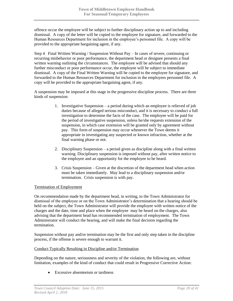offence occur the employee will be subject to further disciplinary action up to and including dismissal. A copy of the letter will be copied to the employee for signature, and forwarded to the Human Resources Department for inclusion in the employee's personnel file. A copy will be provided to the appropriate bargaining agent, if any.

Step 4 Final Written Warning / Suspension Without Pay – In cases of severe, continuing or recurring misbehavior or poor performance, the department head or designee presents a final written warning outlining the circumstances. The employee will be advised that should any further misconduct or poor performance occur, the employee will be subject to immediate dismissal. A copy of the Final Written Warning will be copied to the employee for signature, and forwarded to the Human Resources Department for inclusion in the employees personnel file. A copy will be provided to the appropriate bargaining agent, if any.

A suspension may be imposed at this stage in the progressive discipline process. There are three kinds of suspension:

- 1. Investigative Suspension a period during which an employee is relieved of job duties because of alleged serious misconduct, and it is necessary to conduct a full investigation to determine the facts of the case. The employee will be paid for the period of investigative suspension, unless he/she requests extension of the suspension, in which case extension will be granted only by agreement without pay. This form of suspension may occur whenever the Town deems it appropriate in investigating any suspected or known infraction, whether at the final warning phase or not.
- 2. Disciplinary Suspension a period given as discipline along with a final written warning. Disciplinary suspension is imposed without pay, after written notice to the employee and an opportunity for the employee to be heard.
- 3. Crisis Suspension Given at the discretion of the department head when action must be taken immediately. May lead to a disciplinary suspension and/or termination. Crisis suspension is with pay.

#### Termination of Employment

On recommendation made by the department head, in writing, to the Town Administrator for dismissal of the employee or on the Town Administrator's determination that a hearing should be held on the subject, the Town Administrator will provide the employee with written notice of the charges and the date, time and place when the employee may be heard on the charges, also advising that the department head has recommended termination of employment. The Town Administrator will conduct the hearing, and will make the final decision regarding the termination.

Suspension without pay and/or termination may be the first and only step taken in the discipline process, if the offense is severe enough to warrant it.

#### Conduct Typically Resulting in Discipline and/or Termination

Depending on the nature, seriousness and severity of the violation, the following are, without limitation, examples of the kind of conduct that could result in Progressive Corrective Action:

• Excessive absenteeism or tardiness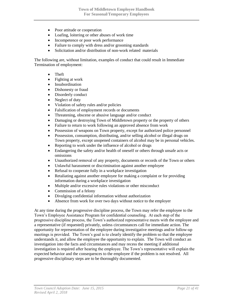- Poor attitude or cooperation
- Loafing, loitering or other abuses of work time
- Incompetence or poor work performance
- Failure to comply with dress and/or grooming standards
- Solicitation and/or distribution of non-work related materials

The following are, without limitation, examples of conduct that could result in Immediate Termination of employment:

- Theft
- Fighting at work
- Insubordination
- Dishonesty or fraud
- Disorderly conduct
- Neglect of duty
- Violation of safety rules and/or policies
- Falsification of employment records or documents
- Threatening, obscene or abusive language and/or conduct
- Damaging or destroying Town of Middletown property or the property of others
- Failure to return to work following an approved absence from work
- Possession of weapons on Town property, except for authorized police personnel
- Possession, consumption, distributing, and/or selling alcohol or illegal drugs on Town property, except unopened containers of alcohol may be in personal vehicles.
- Reporting to work under the influence of alcohol or drugs
- Endangering the safety and/or health of oneself or others through unsafe acts or omissions
- Unauthorized removal of any property, documents or records of the Town or others
- Unlawful harassment or discrimination against another employee
- Refusal to cooperate fully in a workplace investigation
- Retaliating against another employee for making a complaint or for providing information during a workplace investigation
- Multiple and/or excessive rules violations or other misconduct
- Commission of a felony
- Divulging confidential information without authorization
- Absence from work for over two days without notice to the employer

At any time during the progressive discipline process, the Town may refer the employee to the Town's Employee Assistance Program for confidential counseling. At each step of the progressive discipline process, the Town's authorized representative meets with the employee and a representative (if requested) privately, unless circumstances call for immediate action. The opportunity for representation of the employee during investigative meetings and/or follow-up meetings is provided. The Town's goal is to clearly identify the problem so that the employee understands it, and allow the employee the opportunity to explain. The Town will conduct an investigation into the facts and circumstances and may recess the meeting if additional investigation is required after hearing the employee. The Town's representative will explain the expected behavior and the consequences to the employee if the problem is not resolved. All progressive disciplinary steps are to be thoroughly documented.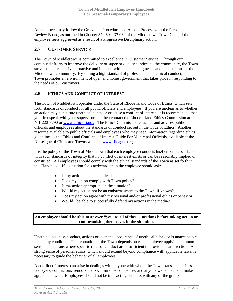An employee may follow the Grievance Procedure and Appeal Process with the Personnel Review Board, as outlined in Chapter 37.060 – 37.062 of the Middletown Town Code, if the employee feels aggrieved as a result of a Progressive Disciplinary action.

# <span id="page-21-0"></span>**2.7 CUSTOMER SERVICE**

The Town of Middletown is committed to excellence in Customer Service. Through our continued efforts to improve the delivery of superior quality services to the community, the Town strives to be responsive, proactive and in touch with the changing needs and expectations of the Middletown community. By setting a high standard of professional and ethical conduct, the Town promotes an environment of open and honest government that takes pride in responding to the needs of our customers.

### <span id="page-21-1"></span>**2.8 ETHICS AND CONFLICT OF INTEREST**

The Town of Middletown operates under the State of Rhode Island Code of Ethics, which sets forth standards of conduct for all public officials and employees. If you are unclear as to whether an action may constitute unethical behavior or cause a conflict of interest, it is recommended that you first speak with your supervisor and then contact the Rhode Island Ethics Commission at 401-222-3790 or [www.ethics.ri.gov.](http://www.ethics.ri.gov/) The Ethics Commission educates and advises public officials and employees about the standards of conduct set out in the Code of Ethics. Another resource available to public officials and employees who may need information regarding ethics guidelines is the Ethics and Conflicts of Interest Guide For Municipal Officials, available at the RI League of Cities and Towns website, www.rileague.org.

It is the policy of the Town of Middletown that each employee conducts his/her business affairs with such standards of integrity that no conflict of interest exists or can be reasonably implied or construed. All employees should comply with the ethical standards of the Town as set forth in this Handbook. If a situation feels awkward, then the employee should ask:

- Is my action legal and ethical?
- Does my action comply with Town policy?
- Is my action appropriate in the situation?
- Would my action not be an embarrassment to the Town, if known?
- Does my action agree with my personal and/or professional ethics or behavior?
- Would I be able to successfully defend my actions in the media?

#### **An employee should be able to answer "yes" to all of these questions before taking action or compromising themselves in the situation.**

Unethical business conduct, actions or even the appearance of unethical behavior is unacceptable under any condition. The reputation of the Town depends on each employee applying common sense in situations where specific rules of conduct are insufficient to provide clear direction. A strong sense of personal ethics, which should extend beyond compliance with applicable laws, is necessary to guide the behavior of all employees.

A conflict of interest can arise in dealings with anyone with whom the Town transacts business: taxpayers, contractors, vendors, banks, insurance companies, and anyone we contact and make agreements with. Employees should not be transacting business with any of the groups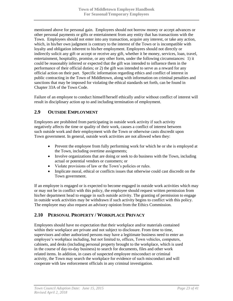mentioned above for personal gain. Employees should not borrow money or accept advances or other personal payments or gifts or entertainment from any entity that has transactions with the Town. Employees should not enter into any transaction, acquire any interest, or take any action, which, in his/her own judgment is contrary to the interest of the Town or is incompatible with loyalty and obligation inherent to his/her employment. Employees should not directly or indirectly solicit any gift or accept or receive any gift, whether it be money, services, loan, travel, entertainment, hospitality, promise, or any other form, under the following circumstances: 1) it could be reasonably inferred or expected that the gift was intended to influence them in the performance of their official duties; or 2) the gift was intended to serve as a reward for any official action on their part. Specific information regarding ethics and conflict of interest in public contracting in the Town of Middletown, along with information on criminal penalties and sanctions that may be imposed for violating the ethical standards set forth, can be found in Chapter 33A of the Town Code.

Failure of an employee to conduct himself/herself ethically and/or without conflict of interest will result in disciplinary action up to and including termination of employment.

### <span id="page-22-0"></span>**2.9 OUTSIDE EMPLOYMENT**

Employees are prohibited from participating in outside work activity if such activity negatively affects the time or quality of their work, causes a conflict of interest between such outside work and their employment with the Town or otherwise casts discredit upon Town government. In general, outside work activities are not allowed when they:

- Prevent the employee from fully performing work for which he or she is employed at the Town, including overtime assignments;
- Involve organizations that are doing or seek to do business with the Town, including actual or potential vendors or customers; or
- Violate provisions of law or the Town's policies or rules.
- Implicate moral, ethical or conflicts issues that otherwise could cast discredit on the Town government.

If an employee is engaged or is expected to become engaged in outside work activities which may or may not be in conflict with this policy, the employee should request written permission from his/her department head to engage in such outside activity. The granting of permission to engage in outside work activities may be withdrawn if such activity begins to conflict with this policy. The employee may also request an advisory opinion from the Ethics Commission.

### <span id="page-22-1"></span>**2.10 PERSONAL PROPERTY / WORKPLACE PRIVACY**

Employees should have no expectation that their workplace and/or materials contained within their workplace are private and not subject to disclosure. From time to time, supervisors and other authorized persons may have a legitimate business need to enter an employee's workplace including, but not limited to, offices, Town vehicles, computers, cabinets, and desks (including personal property brought to the workplace, which is used in the course of day-to-day business) to search for documents, files and other work related items. In addition, in cases of suspected employee misconduct or criminal activity, the Town may search the workplace for evidence of such misconduct and will cooperate with law enforcement officials in any criminal investigation.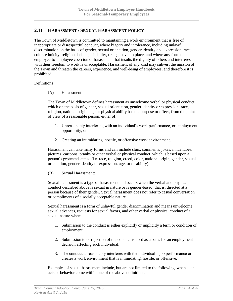### <span id="page-23-0"></span>**2.11 HARASSMENT / SEXUAL HARASSMENT POLICY**

The Town of Middletown is committed to maintaining a work environment that is free of inappropriate or disrespectful conduct, where bigotry and intolerance, including unlawful discrimination on the basis of gender, sexual orientation, gender identity and expression, race, color, ethnicity, religious beliefs, disability, or age, have no place, and where any form of employee-to-employee coercion or harassment that insults the dignity of others and interferes with their freedom to work is unacceptable. Harassment of any kind may subvert the mission of the Town and threaten the careers, experience, and well-being of employees, and therefore it is prohibited.

#### **Definitions**

(A) Harassment:

The Town of Middletown defines harassment as unwelcome verbal or physical conduct which on the basis of gender, sexual orientation, gender identity or expression, race, religion, national origin, age or physical ability has the purpose or effect, from the point of view of a reasonable person, either of:

- 1. Unreasonably interfering with an individual's work performance, or employment opportunity, or
- 2. Creating an intimidating, hostile, or offensive work environment.

Harassment can take many forms and can include slurs, comments, jokes, innuendoes, pictures, cartoons, pranks or other verbal or physical conduct, which is based upon a person's protected status. (i.e. race, religion, creed, color, national origin, gender, sexual orientation, gender identity or expression, age, or disability).

(B) Sexual Harassment:

Sexual harassment is a type of harassment and occurs when the verbal and physical conduct described above is sexual in nature or is gender-based, that is, directed at a person because of their gender. Sexual harassment does not refer to casual conversation or compliments of a socially acceptable nature.

Sexual harassment is a form of unlawful gender discrimination and means unwelcome sexual advances, requests for sexual favors, and other verbal or physical conduct of a sexual nature when:

- 1. Submission to the conduct is either explicitly or implicitly a term or condition of employment.
- 2. Submission to or rejection of the conduct is used as a basis for an employment decision affecting such individual.
- 3. The conduct unreasonably interferes with the individual's job performance or creates a work environment that is intimidating, hostile, or offensive.

Examples of sexual harassment include, but are not limited to the following, when such acts or behavior come within one of the above definitions: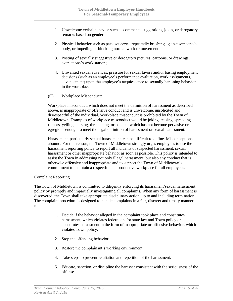- 1. Unwelcome verbal behavior such as comments, suggestions, jokes, or derogatory remarks based on gender
- 2. Physical behavior such as pats, squeezes, repeatedly brushing against someone's body, or impeding or blocking normal work or movement
- 3. Posting of sexually suggestive or derogatory pictures, cartoons, or drawings, even at one's work station;
- 4. Unwanted sexual advances, pressure for sexual favors and/or basing employment decisions (such as an employee's performance evaluation, work assignments, advancement) upon the employee's acquiescence to sexually harassing behavior in the workplace.
- (C) Workplace Misconduct:

Workplace misconduct, which does not meet the definition of harassment as described above, is inappropriate or offensive conduct and is unwelcome, unsolicited and disrespectful of the individual. Workplace misconduct is prohibited by the Town of Middletown. Examples of workplace misconduct would be joking, teasing, spreading rumors, yelling, cursing, threatening, or conduct which has not become pervasive or egregious enough to meet the legal definition of harassment or sexual harassment.

Harassment, particularly sexual harassment, can be difficult to define. Misconceptions abound. For this reason, the Town of Middletown strongly urges employees to use the harassment reporting policy to report all incidents of suspected harassment, sexual harassment or other inappropriate behavior as soon as possible. This policy is intended to assist the Town in addressing not only illegal harassment, but also any conduct that is otherwise offensive and inappropriate and to support the Town of Middletown's commitment to maintain a respectful and productive workplace for all employees.

#### Complaint Reporting

The Town of Middletown is committed to diligently enforcing its harassment/sexual harassment policy by promptly and impartially investigating all complaints. When any form of harassment is discovered, the Town shall take appropriate disciplinary action, up to and including termination. The complaint procedure is designed to handle complaints in a fair, discreet and timely manner to:

- 1. Decide if the behavior alleged in the complaint took place and constitutes harassment, which violates federal and/or state law and Town policy or constitutes harassment in the form of inappropriate or offensive behavior, which violates Town policy.
- 2. Stop the offending behavior.
- 3. Restore the complainant's working environment.
- 4. Take steps to prevent retaliation and repetition of the harassment.
- 5. Educate, sanction, or discipline the harasser consistent with the seriousness of the offense.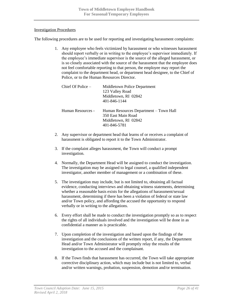#### Investigation Procedures

The following procedures are to be used for reporting and investigating harassment complaints:

1. Any employee who feels victimized by harassment or who witnesses harassment should report verbally or in writing to the employee's supervisor immediately. If the employee's immediate supervisor is the source of the alleged harassment, or is so closely associated with the source of the harassment that the employee does not feel comfortable reporting to that person, the employee may report the complaint to the department head, or department head designee, to the Chief of Police, or to the Human Resources Director.

| Chief Of Police – | Middletown Police Department<br>123 Valley Road<br>Middletown, RI 02842<br>401-846-1144              |
|-------------------|------------------------------------------------------------------------------------------------------|
| Human Resources - | Human Resources Department – Town Hall<br>350 East Main Road<br>Middletown, RI 02842<br>401-846-5781 |

- 2. Any supervisor or department head that learns of or receives a complaint of harassment is obligated to report it to the Town Administrator.
- 3. If the complaint alleges harassment, the Town will conduct a prompt investigation.
- 4. Normally, the Department Head will be assigned to conduct the investigation. The investigation may be assigned to legal counsel, a qualified independent investigator, another member of management or a combination of these.
- 5. The investigation may include, but is not limited to, obtaining all factual evidence, conducting interviews and obtaining witness statements, determining whether a reasonable basis exists for the allegations of harassment/sexual harassment, determining if there has been a violation of federal or state law and/or Town policy, and affording the accused the opportunity to respond verbally or in writing to the allegations.
- 6. Every effort shall be made to conduct the investigation promptly so as to respect the rights of all individuals involved and the investigation will be done in as confidential a manner as is practicable.
- 7. Upon completion of the investigation and based upon the findings of the investigation and the conclusions of the written report, if any, the Department Head and/or Town Administrator will promptly relay the results of the investigation to the accused and the complainant.
- 8. If the Town finds that harassment has occurred, the Town will take appropriate corrective disciplinary action, which may include but is not limited to, verbal and/or written warnings, probation, suspension, demotion and/or termination.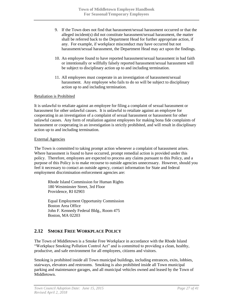- 9. If the Town does not find that harassment/sexual harassment occurred or that the alleged incident(s) did not constitute harassment/sexual harassment, the matter shall be referred back to the Department Head for further appropriate action, if any. For example, if workplace misconduct may have occurred but not harassment/sexual harassment, the Department Head may act upon the findings.
- 10. An employee found to have reported harassment/sexual harassment in bad faith or intentionally or willfully falsely reported harassment/sexual harassment will be subject to disciplinary action up to and including termination.
- 11. All employees must cooperate in an investigation of harassment/sexual harassment. Any employee who fails to do so will be subject to disciplinary action up to and including termination.

#### Retaliation is Prohibited

It is unlawful to retaliate against an employee for filing a complaint of sexual harassment or harassment for other unlawful causes. It is unlawful to retaliate against an employee for cooperating in an investigation of a complaint of sexual harassment or harassment for other unlawful causes. Any form of retaliation against employees for making bona fide complaints of harassment or cooperating in an investigation is strictly prohibited, and will result in disciplinary action up to and including termination.

#### External Agencies

The Town is committed to taking prompt action whenever a complaint of harassment arises. Where harassment is found to have occurred, prompt remedial action is provided under this policy. Therefore, employees are expected to process any claims pursuant to this Policy, and a purpose of this Policy is to make recourse to outside agencies unnecessary. However, should you feel it necessary to contact an outside agency, contact information for State and federal employment discrimination enforcement agencies are:

Rhode Island Commission for Human Rights 180 Westminster Street, 3rd Floor Providence, RI 02903

Equal Employment Opportunity Commission Boston Area Office John F. Kennedy Federal Bldg., Room 475 Boston, MA 02203

# <span id="page-26-0"></span>**2.12 SMOKE FREE WORKPLACE POLICY**

The Town of Middletown is a Smoke Free Workplace in accordance with the Rhode Island "Workplace Smoking Pollution Control Act" and is committed to providing a clean, healthy, productive, and safe environment for all employees, citizens and visitors.

Smoking is prohibited inside all Town municipal buildings, including entrances, exits, lobbies, stairways, elevators and restrooms. Smoking is also prohibited inside all Town municipal parking and maintenance garages, and all municipal vehicles owned and leased by the Town of Middletown.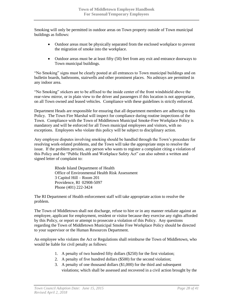Smoking will only be permitted in outdoor areas on Town property outside of Town municipal buildings as follows:

- Outdoor areas must be physically separated from the enclosed workplace to prevent the migration of smoke into the workplace.
- Outdoor areas must be at least fifty (50) feet from any exit and entrance doorways to Town municipal buildings.

"No Smoking" signs must be clearly posted at all entrances to Town municipal buildings and on bulletin boards, bathrooms, stairwells and other prominent places. No ashtrays are permitted in any indoor area.

"No Smoking" stickers are to be affixed to the inside center of the front windshield above the rear-view mirror, or in plain view to the driver and passengers if this location is not appropriate, on all Town owned and leased vehicles. Compliance with these guidelines is strictly enforced.

Department Heads are responsible for ensuring that all department members are adhering to this Policy. The Town Fire Marshal will inspect for compliance during routine inspections of the Town. Compliance with the Town of Middletown Municipal Smoke-Free Workplace Policy is mandatory and will be enforced for all Town municipal employees and visitors, with no exceptions. Employees who violate this policy will be subject to disciplinary action.

Any employee disputes involving smoking should be handled through the Town's procedure for resolving work-related problems, and the Town will take the appropriate steps to resolve the issue. If the problem persists, any person who wants to register a complaint citing a violation of this Policy and the "Public Health and Workplace Safety Act" can also submit a written and signed letter of complaint to:

> Rhode Island Department of Health Office of Environmental Health Risk Assessment 3 Capitol Hill – Room 201 Providence, RI 02908-5097 Phone (401) 222-3424

The RI Department of Health enforcement staff will take appropriate action to resolve the problem.

The Town of Middletown shall not discharge, refuse to hire or in any manner retaliate against an employee, applicant for employment, resident or visitor because they exercise any rights afforded by this Policy, or report or attempt to prosecute a violation of this Policy. Any questions regarding the Town of Middletown Municipal Smoke Free Workplace Policy should be directed to your supervisor or the Human Resources Department.

An employee who violates the Act or Regulations shall reimburse the Town of Middletown, who would be liable for civil penalty as follows:

- 1. A penalty of two hundred fifty dollars (\$250) for the first violation;
- 2. A penalty of five hundred dollars (\$500) for the second violation;
- 3. A penalty of one thousand dollars (\$1,000) for the third and subsequent violations; which shall be assessed and recovered in a civil action brought by the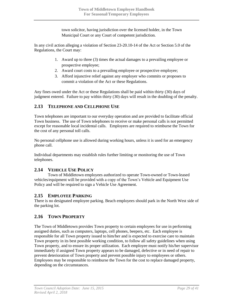town solicitor, having jurisdiction over the licensed holder, in the Town Municipal Court or any Court of competent jurisdiction.

In any civil action alleging a violation of Section 23-20.10-14 of the Act or Section 5.0 of the Regulations, the Court may:

- 1. Award up to three (3) times the actual damages to a prevailing employee or prospective employee;
- 2. Award court costs to a prevailing employee or prospective employee;
- 3. Afford injunctive relief against any employer who commits or proposes to commit a violation of the Act or these Regulations.

Any fines owed under the Act or these Regulations shall be paid within thirty (30) days of judgment entered. Failure to pay within thirty (30) days will result in the doubling of the penalty.

# <span id="page-28-0"></span>**2.13 TELEPHONE AND CELLPHONE USE**

Town telephones are important to our everyday operation and are provided to facilitate official Town business. The use of Town telephones to receive or make personal calls is not permitted except for reasonable local incidental calls. Employees are required to reimburse the Town for the cost of any personal toll calls.

No personal cellphone use is allowed during working hours, unless it is used for an emergency phone call.

Individual departments may establish rules further limiting or monitoring the use of Town telephones.

# <span id="page-28-1"></span>**2.14 VEHICLE USE POLICY**

Town of Middletown employees authorized to operate Town-owned or Town-leased vehicles/equipment will be provided with a copy of the Town's Vehicle and Equipment Use Policy and will be required to sign a Vehicle Use Agreement.

### <span id="page-28-2"></span>**2.15 EMPLOYEE PARKING**

There is no designated employee parking. Beach employees should park in the North West side of the parking lot.

# <span id="page-28-3"></span>**2.16 TOWN PROPERTY**

The Town of Middletown provides Town property to certain employees for use in performing assigned duties, such as computers, laptops, cell phones, beepers, etc. Each employee is responsible for all Town property issued to him/her and is expected to exercise care to maintain Town property in its best possible working condition, to follow all safety guidelines when using Town property, and to ensure its proper utilization. Each employee must notify his/her supervisor immediately if assigned Town property appears to be damaged, defective or in need of repair to prevent deterioration of Town property and prevent possible injury to employees or others. Employees may be responsible to reimburse the Town for the cost to replace damaged property, depending on the circumstances.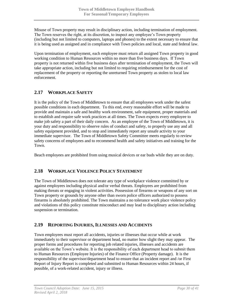Misuse of Town property may result in disciplinary action, including termination of employment. The Town reserves the right, at its discretion, to inspect any employee's Town property (including but not limited to computers, laptops and phones) to the extent necessary to ensure that it is being used as assigned and in compliance with Town policies and local, state and federal law.

Upon termination of employment, each employee must return all assigned Town property in good working condition to Human Resources within no more than five business days. If Town property is not returned within five business days after termination of employment, the Town will take appropriate action, including but not limited to requiring reimbursement for the cost of replacement of the property or reporting the unreturned Town property as stolen to local law enforcement.

# <span id="page-29-0"></span>**2.17 WORKPLACE SAFETY**

It is the policy of the Town of Middletown to ensure that all employees work under the safest possible conditions in each department. To this end, every reasonable effort will be made to provide and maintain a safe and healthy work environment, safe equipment, proper materials and to establish and require safe work practices at all times. The Town expects every employee to make job safety a part of their daily concern. As an employee of the Town of Middletown, it is your duty and responsibility to observe rules of conduct and safety, to properly use any and all safety equipment provided, and to stop and immediately report any unsafe activity to your immediate supervisor. The Town of Middletown Safety Committee meets regularly to review safety concerns of employees and to recommend health and safety initiatives and training for the Town.

Beach employees are prohibited from using musical devices or ear buds while they are on duty.

# <span id="page-29-1"></span>**2.18 WORKPLACE VIOLENCE POLICY STATEMENT**

The Town of Middletown does not tolerate any type of workplace violence committed by or against employees including physical and/or verbal threats. Employees are prohibited from making threats or engaging in violent activities. Possession of firearms or weapons of any sort on Town property or grounds by anyone other than sworn police officers authorized to possess firearms is absolutely prohibited. The Town maintains a no tolerance work place violence policy and violations of this policy constitute misconduct and may lead to disciplinary action including suspension or termination.

### <span id="page-29-2"></span>**2.19 REPORTING INJURIES, ILLNESSES AND ACCIDENTS**

Town employees must report all accidents, injuries or illnesses that occur while at work immediately to their supervisor or department head, no matter how slight they may appear. The proper forms and procedures for reporting job related injuries, illnesses and accidents are available on the Town's website. It is the responsibility of each department head to submit them to Human Resources (Employee Injuries) of the Finance Office (Property damage). It is the responsibility of the supervisor/department head to ensure that an incident report and /or First Report of Injury Report is completed and submitted to Human Resources within 24 hours, if possible, of a work-related accident, injury or illness.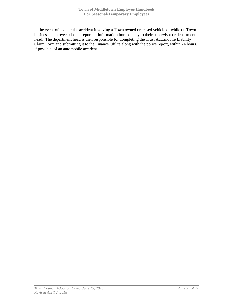In the event of a vehicular accident involving a Town owned or leased vehicle or while on Town business, employees should report all information immediately to their supervisor or department head. The department head is then responsible for completing the Trust Automobile Liability Claim Form and submitting it to the Finance Office along with the police report, within 24 hours, if possible, of an automobile accident.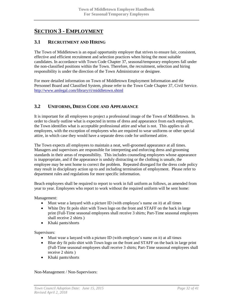# <span id="page-31-0"></span>**SECTION 3 - EMPLOYMENT**

### <span id="page-31-1"></span>**3.1 RECRUITMENT AND HIRING**

The Town of Middletown is an equal opportunity employer that strives to ensure fair, consistent, effective and efficient recruitment and selection practices when hiring the most suitable candidates. In accordance with Town Code Chapter 37, seasonal/temporary employees fall under the non-classified positions within the Town. Therefore, the recruitment, selection and hiring responsibility is under the direction of the Town Administrator or designee.

For more detailed information on Town of Middletown Employment Information and the Personnel Board and Classified System, please refer to the Town Code Chapter 37, Civil Service. <http://www.amlegal.com/library/ri/middletown.shtml>

# <span id="page-31-2"></span>**3.2 UNIFORMS, DRESS CODE AND APPEARANCE**

It is important for all employees to project a professional image of the Town of Middletown. In order to clearly outline what is expected in terms of dress and appearance from each employee, the Town identifies what is acceptable professional attire and what is not. This applies to all employees, with the exception of employees who are required to wear uniforms or other special attire, in which case they would have a separate dress code for uniformed attire.

The Town expects all employees to maintain a neat, well-groomed appearance at all times. Managers and supervisors are responsible for interpreting and enforcing dress and grooming standards in their areas of responsibility. This includes counseling employees whose appearance is inappropriate, and if the appearance is unduly distracting or the clothing is unsafe, the employee may be sent home to correct the problem. Repeated disregard for the dress code policy may result in disciplinary action up to and including termination of employment. Please refer to department rules and regulations for more specific information.

Beach employees shall be required to report to work in full uniform as follows, as amended from year to year. Employees who report to work without the required uniform will be sent home:

Management:

- Must wear a lanyard with a picture ID (with employee's name on it) at all times
- White Dry fit polo shirt with Town logo on the front and STAFF on the back in large print (Full-Time seasonal employees shall receive 3 shirts; Part-Time seasonal employees shall receive 2 shirts )
- Khaki pants/shorts

Supervisors:

- Must wear a lanyard with a picture ID (with employee's name on it) at all times
- Blue dry fit polo shirt with Town logo on the front and STAFF on the back in large print (Full-Time seasonal employees shall receive 3 shirts; Part-Time seasonal employees shall receive 2 shirts )
- Khaki pants/shorts

Non-Management / Non-Supervisors: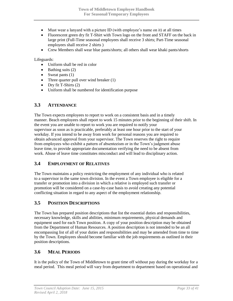- Must wear a lanyard with a picture ID (with employee's name on it) at all times
- Fluorescent green dry fit T-Shirt with Town logo on the front and STAFF on the back in large print (Full-Time seasonal employees shall receive 3 shirts; Part-Time seasonal employees shall receive 2 shirts )

Crew Members shall wear blue pants/shorts; all others shall wear khaki pants/shorts

Lifeguards:

- Uniform shall be red in color
- $\bullet$  Bathing suits (2)
- Sweat pants  $(1)$
- Three quarter pull over wind breaker (1)
- Dry fit T-Shirts  $(2)$
- Uniform shall be numbered for identification purpose

### <span id="page-32-0"></span>**3.3 ATTENDANCE**

The Town expects employees to report to work on a consistent basis and in a timely manner. Beach employees shall report to work 15 minutes prior to the beginning of their shift. In the event you are unable to report to work you are required to notify your supervisor as soon as is practicable, preferably at least one hour prior to the start of your workday. If you intend to be away from work for personal reasons you are required to obtain advanced approval from your supervisor. The Town reserves the right to require from employees who exhibit a pattern of absenteeism or in the Town's judgment abuse leave time, to provide appropriate documentation verifying the need to be absent from work. Abuse of leave time constitutes misconduct and will lead to disciplinary action.

# <span id="page-32-1"></span>**3.4 EMPLOYMENT OF RELATIVES**

The Town maintains a policy restricting the employment of any individual who is related to a supervisor in the same town division. In the event a Town employee is eligible for a transfer or promotion into a division in which a relative is employed such transfer or promotion will be considered on a case-by-case basis to avoid creating any potential conflicting situation in regard to any aspect of the employment relationship.

### <span id="page-32-2"></span>**3.5 POSITION DESCRIPTIONS**

The Town has prepared position descriptions that list the essential duties and responsibilities, necessary knowledge, skills and abilities, minimum requirements, physical demands and equipment used for each Town position. A copy of your position description may be obtained from the Department of Human Resources. A position description is not intended to be an all encompassing list of all of your duties and responsibilities and may be amended from time to time by the Town. Employees should become familiar with the job requirements as outlined in their position descriptions.

# <span id="page-32-3"></span>**3.6 MEAL PERIODS**

It is the policy of the Town of Middletown to grant time off without pay during the workday for a meal period. This meal period will vary from department to department based on operational and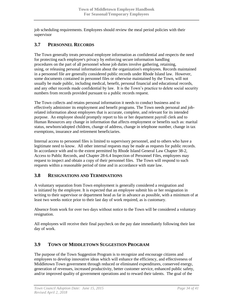job scheduling requirements. Employees should review the meal period policies with their supervisor

# <span id="page-33-0"></span>**3.7 PERSONNEL RECORDS**

The Town generally treats personal employee information as confidential and respects the need for protecting each employee's privacy by enforcing secure information handling procedures on the part of all personnel whose job duties involve gathering, retaining, using, or releasing personal information about the organization's employees. Records maintained in a personnel file are generally considered public records under Rhode Island law. However, some documents contained in personnel files or otherwise maintained by the Town, will not usually be made public, including medical, benefit, personal financial and educational records, and any other records made confidential by law. It is the Town's practice to delete social security numbers from records provided pursuant to a public records request.

The Town collects and retains personal information it needs to conduct business and to effectively administer its employment and benefit programs. The Town needs personal and jobrelated information about employees that is accurate, complete, and relevant for its intended purpose. An employee should promptly report to his or her department payroll clerk and to Human Resources any change in information that affects employment or benefits such as: marital status, newborn/adopted children, change of address, change in telephone number, change in tax exemptions, insurance and retirement beneficiaries.

Internal access to personnel files is limited to supervisory personnel, and to others who have a legitimate need to know. All other internal requests may be made as requests for public records. In accordance with and to the extent permitted by Rhode Island General Law Chapter 38-2, Access to Public Records, and Chapter 28-6.4 Inspection of Personnel Files, employees may request to inspect and obtain a copy of their personnel files. The Town will respond to such requests within a reasonable period of time and in accordance with state law.

# <span id="page-33-1"></span>**3.8 RESIGNATIONS AND TERMINATIONS**

A voluntary separation from Town employment is generally considered a resignation and is initiated by the employee. It is expected that an employee submit his or her resignation in writing to their supervisor or department head as far in advance as possible, with a minimum of at least two weeks notice prior to their last day of work required, as is customary.

Absence from work for over two days without notice to the Town will be considered a voluntary resignation.

All employees will receive their final paycheck on the pay date immediately following their last day of work.

# <span id="page-33-2"></span>**3.9 TOWN OF MIDDLETOWN SUGGESTION PROGRAM**

The purpose of the Town Suggestion Program is to recognize and encourage citizens and employees to develop innovative ideas which will enhance the efficiency, and effectiveness of Middletown Town government through reduced or eliminated expenditures, conserved energy, generation of revenues, increased productivity, better customer service, enhanced public safety, and/or improved quality of government operations and to reward their talents. The goal of the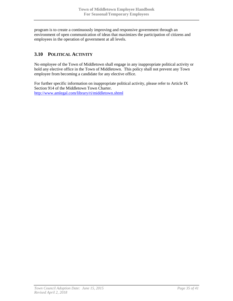program is to create a continuously improving and responsive government through an environment of open communication of ideas that maximizes the participation of citizens and employees in the operation of government at all levels.

# <span id="page-34-0"></span>**3.10 POLITICAL ACTIVITY**

No employee of the Town of Middletown shall engage in any inappropriate political activity or hold any elective office in the Town of Middletown. This policy shall not prevent any Town employee from becoming a candidate for any elective office.

For further specific information on inappropriate political activity, please refer to Article IX Section 914 of the Middletown Town Charter. <http://www.amlegal.com/library/ri/middletown.shtml>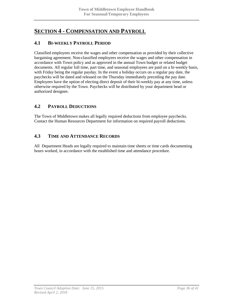# <span id="page-35-0"></span>**SECTION 4 - COMPENSATION AND PAYROLL**

### <span id="page-35-1"></span>**4.1 BI-WEEKLY PAYROLL PERIOD**

Classified employees receive the wages and other compensation as provided by their collective bargaining agreement. Non-classified employees receive the wages and other compensation in accordance with Town policy and as approved in the annual Town budget or related budget documents. All regular full time, part time, and seasonal employees are paid on a bi-weekly basis, with Friday being the regular payday. In the event a holiday occurs on a regular pay date, the paychecks will be dated and released on the Thursday immediately preceding the pay date. Employees have the option of electing direct deposit of their bi-weekly pay at any time, unless otherwise required by the Town. Paychecks will be distributed by your department head or authorized designee.

# <span id="page-35-2"></span>**4.2 PAYROLL DEDUCTIONS**

The Town of Middletown makes all legally required deductions from employee paychecks. Contact the Human Resources Department for information on required payroll deductions.

### <span id="page-35-3"></span>**4.3 TIME AND ATTENDANCE RECORDS**

All Department Heads are legally required to maintain time sheets or time cards documenting hours worked, in accordance with the established time and attendance procedure.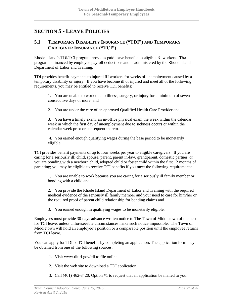# <span id="page-36-0"></span>**SECTION 5 - LEAVE POLICIES**

### <span id="page-36-1"></span>**5.1 TEMPORARY DISABILITY INSURANCE ("TDI") AND TEMPORARY CAREGIVER INSURANCE ("TCI")**

Rhode Island's TDI/TCI program provides paid leave benefits to eligible RI workers. The program is financed by employee payroll deductions and is administered by the Rhode Island Department of Labor and Training.

TDI provides benefit payments to injured RI workers for weeks of unemployment caused by a temporary disability or injury. If you have become ill or injured and meet all of the following requirements, you may be entitled to receive TDI benefits:

1. You are unable to work due to illness, surgery, or injury for a minimum of seven consecutive days or more, and

2. You are under the care of an approved Qualified Health Care Provider and

3. You have a timely exam: an in-office physical exam the week within the calendar week in which the first day of unemployment due to sickness occurs or within the calendar week prior or subsequent thereto.

4. You earned enough qualifying wages during the base period to be monetarily eligible.

TCI provides benefit payments of up to four weeks per year to eligible caregivers. If you are caring for a seriously ill: child, spouse, parent, parent in-law, grandparent, domestic partner, or you are bonding with a newborn child, adopted child or foster child within the first 12 months of parenting; you may be eligible to receive TCI benefits if you meet the following requirements:

1. You are unable to work because you are caring for a seriously ill family member or bonding with a child and

2. You provide the Rhode Island Department of Labor and Training with the required medical evidence of the seriously ill family member and your need to care for him/her or the required proof of parent child relationship for bonding claims and

3. You earned enough in qualifying wages to be monetarily eligible.

Employees must provide 30-days advance written notice to The Town of Middletown of the need for TCI leave, unless unforeseeable circumstances make such notice impossible. The Town of Middletown will hold an employee's position or a comparable position until the employee returns from TCI leave.

You can apply for TDI or TCI benefits by completing an application. The application form may be obtained from one of the following sources:

- 1. Visit www.dlt.ri.gov/tdi to file online.
- 2. Visit the web site to download a TDI application.
- 3. Call (401) 462-8420, Option #1 to request that an application be mailed to you.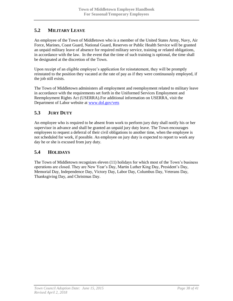# <span id="page-37-0"></span>**5.2 MILITARY LEAVE**

An employee of the Town of Middletown who is a member of the United States Army, Navy, Air Force, Marines, Coast Guard, National Guard, Reserves or Public Health Service will be granted an unpaid military leave of absence for required military service, training or related obligations, in accordance with the law. In the event that the time of such training is optional, the time shall be designated at the discretion of the Town.

Upon receipt of an eligible employee's application for reinstatement, they will be promptly reinstated to the position they vacated at the rate of pay as if they were continuously employed, if the job still exists.

The Town of Middletown administers all employment and reemployment related to military leave in accordance with the requirements set forth in the Uniformed Services Employment and Reemployment Rights Act (USERRA).For additional information on USERRA, visit the Department of Labor website at [www.dol.gov/vets](http://www.dol.gov/vets)

# <span id="page-37-1"></span>**5.3 JURY DUTY**

An employee who is required to be absent from work to perform jury duty shall notify his or her supervisor in advance and shall be granted an unpaid jury duty leave. The Town encourages employees to request a deferral of their civil obligations to another time, when the employee is not scheduled for work, if possible. An employee on jury duty is expected to report to work any day he or she is excused from jury duty.

### <span id="page-37-2"></span>**5.4 HOLIDAYS**

The Town of Middletown recognizes eleven (11) holidays for which most of the Town's business operations are closed. They are New Year's Day, Martin Luther King Day, President's Day, Memorial Day, Independence Day, Victory Day, Labor Day, Columbus Day, Veterans Day, Thanksgiving Day, and Christmas Day.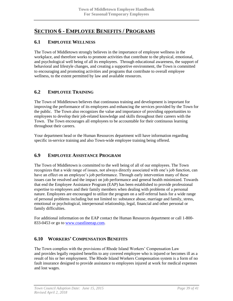# <span id="page-38-0"></span>**SECTION 6 - EMPLOYEE BENEFITS / PROGRAMS**

# <span id="page-38-1"></span>**6.1 EMPLOYEE WELLNESS**

The Town of Middletown strongly believes in the importance of employee wellness in the workplace, and therefore works to promote activities that contribute to the physical, emotional, and psychological well being of all its employees. Through educational awareness, the support of behavioral and lifestyle changes, and creating a supportive environment, the Town is committed to encouraging and promoting activities and programs that contribute to overall employee wellness, to the extent permitted by law and available resources.

### <span id="page-38-2"></span>**6.2 EMPLOYEE TRAINING**

The Town of Middletown believes that continuous training and development is important for improving the performance of its employees and enhancing the services provided by the Town for the public. The Town also recognizes the value and importance of providing opportunities to employees to develop their job-related knowledge and skills throughout their careers with the Town. The Town encourages all employees to be accountable for their continuous learning throughout their careers.

Your department head or the Human Resources department will have information regarding specific in-service training and also Town-wide employee training being offered.

# <span id="page-38-3"></span>**6.9 EMPLOYEE ASSISTANCE PROGRAM**

The Town of Middletown is committed to the well being of all of our employees. The Town recognizes that a wide range of issues, not always directly associated with one's job function, can have an effect on an employee's job performance. Through early intervention many of these issues can be resolved and the impact on job performance and general health minimized. Towards that end the Employee Assistance Program (EAP) has been established to provide professional expertise to employees and their family members when dealing with problems of a personal nature. Employees are encouraged to utilize the program on a self-referral basis for a wide range of personal problems including but not limited to: substance abuse, marriage and family, stress, emotional or psychological, interpersonal relationship, legal, financial and other personal or family difficulties.

For additional information on the EAP contact the Human Resources department or call 1-800- 833-0453 or go to [www.coastlineeap.com.](http://www.coastlineeap.com/)

### <span id="page-38-4"></span>**6.10 WORKERS' COMPENSATION BENEFITS**

The Town complies with the provisions of Rhode Island Workers' Compensation Law and provides legally required benefits to any covered employee who is injured or becomes ill as a result of his or her employment. The Rhode Island Workers Compensation system is a form of no fault insurance designed to provide assistance to employees injured at work for medical expenses and lost wages.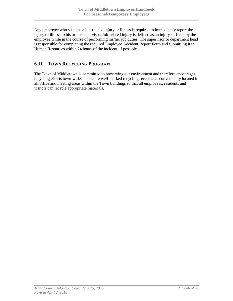Any employee who sustains a job-related injury or illness is required to immediately report the injury or illness to his or her supervisor. Job-related injury is defined as an injury suffered by the employee while in the course of performing his/her job duties. The supervisor or department head is responsible for completing the required Employee Accident Report Form and submitting it to Human Resources within 24 hours of the incident, if possible.

# <span id="page-39-0"></span>**6.11 TOWN RECYCLING PROGRAM**

The Town of Middletown is committed to preserving our environment and therefore encourages recycling efforts town-wide. There are well-marked recycling receptacles conveniently located in all office and meeting areas within the Town buildings so that all employees, residents and visitors can recycle appropriate materials.